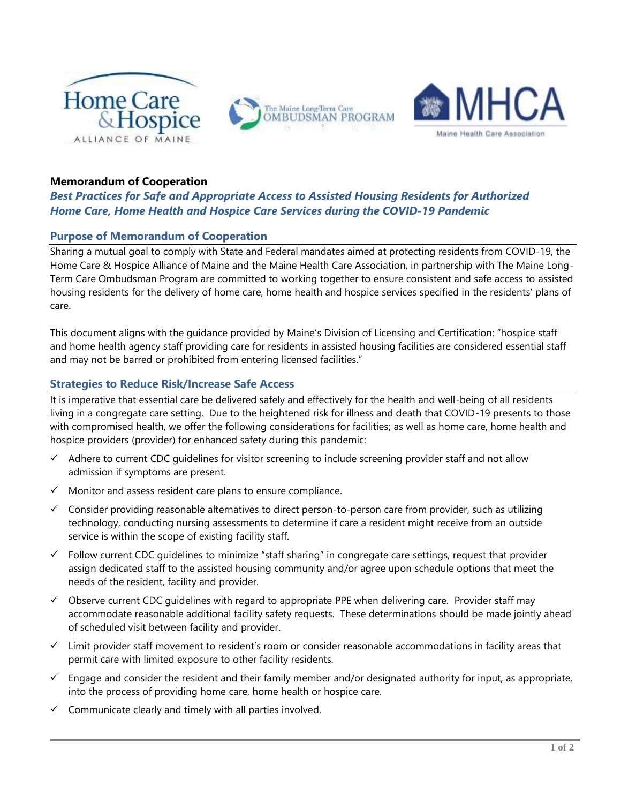

## **Memorandum of Cooperation**

# *Best Practices for Safe and Appropriate Access to Assisted Housing Residents for Authorized Home Care, Home Health and Hospice Care Services during the COVID-19 Pandemic*

### **Purpose of Memorandum of Cooperation**

Sharing a mutual goal to comply with State and Federal mandates aimed at protecting residents from COVID-19, the Home Care & Hospice Alliance of Maine and the Maine Health Care Association, in partnership with The Maine Long-Term Care Ombudsman Program are committed to working together to ensure consistent and safe access to assisted housing residents for the delivery of home care, home health and hospice services specified in the residents' plans of care.

This document aligns with the guidance provided by Maine's Division of Licensing and Certification: "hospice staff and home health agency staff providing care for residents in assisted housing facilities are considered essential staff and may not be barred or prohibited from entering licensed facilities."

#### **Strategies to Reduce Risk/Increase Safe Access**

It is imperative that essential care be delivered safely and effectively for the health and well-being of all residents living in a congregate care setting. Due to the heightened risk for illness and death that COVID-19 presents to those with compromised health, we offer the following considerations for facilities; as well as home care, home health and hospice providers (provider) for enhanced safety during this pandemic:

- $\checkmark$  Adhere to current CDC quidelines for visitor screening to include screening provider staff and not allow admission if symptoms are present.
- $\checkmark$  Monitor and assess resident care plans to ensure compliance.
- $\checkmark$  Consider providing reasonable alternatives to direct person-to-person care from provider, such as utilizing technology, conducting nursing assessments to determine if care a resident might receive from an outside service is within the scope of existing facility staff.
- $\checkmark$  Follow current CDC quidelines to minimize "staff sharing" in congregate care settings, request that provider assign dedicated staff to the assisted housing community and/or agree upon schedule options that meet the needs of the resident, facility and provider.
- $\checkmark$  Observe current CDC guidelines with regard to appropriate PPE when delivering care. Provider staff may accommodate reasonable additional facility safety requests. These determinations should be made jointly ahead of scheduled visit between facility and provider.
- $\checkmark$  Limit provider staff movement to resident's room or consider reasonable accommodations in facility areas that permit care with limited exposure to other facility residents.
- $\checkmark$  Engage and consider the resident and their family member and/or designated authority for input, as appropriate, into the process of providing home care, home health or hospice care.
- $\checkmark$  Communicate clearly and timely with all parties involved.